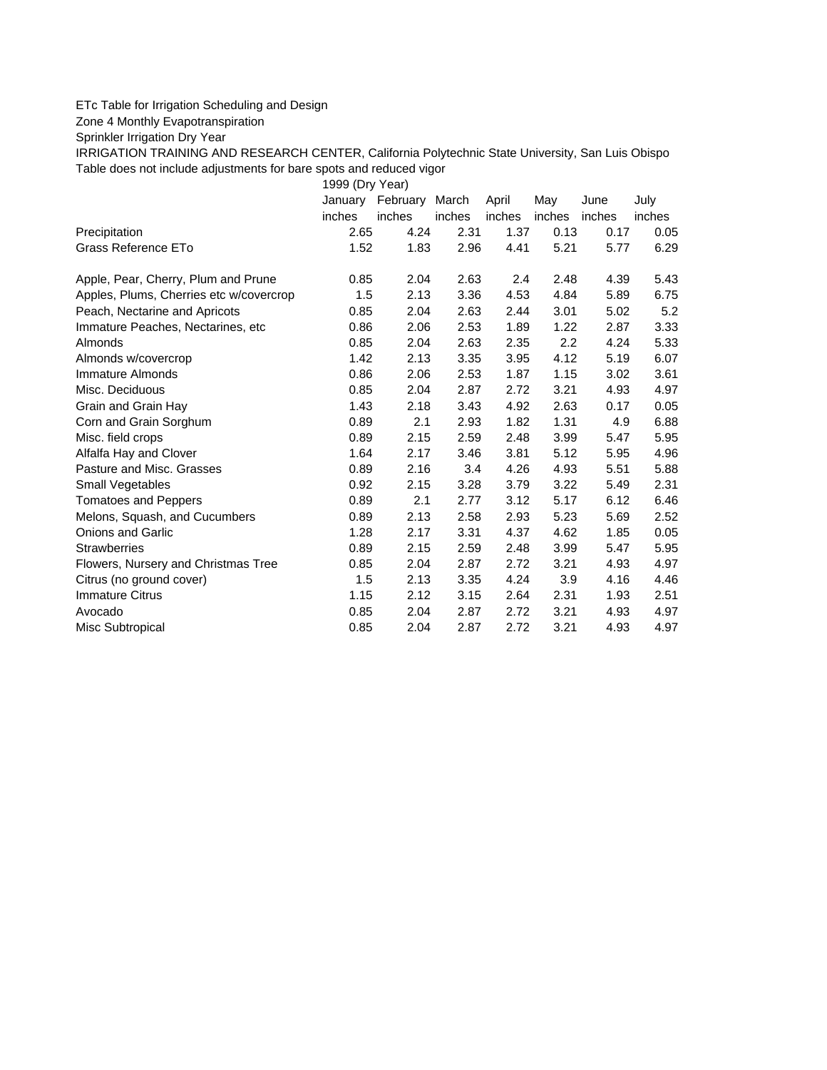## ETc Table for Irrigation Scheduling and Design

Zone 4 Monthly Evapotranspiration

Sprinkler Irrigation Dry Year

IRRIGATION TRAINING AND RESEARCH CENTER, California Polytechnic State University, San Luis Obispo Table does not include adjustments for bare spots and reduced vigor

1999 (Dry Year)

|                                         |        | January February March |        | April  | May    | June   | July   |
|-----------------------------------------|--------|------------------------|--------|--------|--------|--------|--------|
|                                         | inches | inches                 | inches | inches | inches | inches | inches |
| Precipitation                           | 2.65   | 4.24                   | 2.31   | 1.37   | 0.13   | 0.17   | 0.05   |
| Grass Reference ETo                     | 1.52   | 1.83                   | 2.96   | 4.41   | 5.21   | 5.77   | 6.29   |
| Apple, Pear, Cherry, Plum and Prune     | 0.85   | 2.04                   | 2.63   | 2.4    | 2.48   | 4.39   | 5.43   |
| Apples, Plums, Cherries etc w/covercrop | 1.5    | 2.13                   | 3.36   | 4.53   | 4.84   | 5.89   | 6.75   |
| Peach, Nectarine and Apricots           | 0.85   | 2.04                   | 2.63   | 2.44   | 3.01   | 5.02   | 5.2    |
| Immature Peaches, Nectarines, etc       | 0.86   | 2.06                   | 2.53   | 1.89   | 1.22   | 2.87   | 3.33   |
| <b>Almonds</b>                          | 0.85   | 2.04                   | 2.63   | 2.35   | 2.2    | 4.24   | 5.33   |
| Almonds w/covercrop                     | 1.42   | 2.13                   | 3.35   | 3.95   | 4.12   | 5.19   | 6.07   |
| Immature Almonds                        | 0.86   | 2.06                   | 2.53   | 1.87   | 1.15   | 3.02   | 3.61   |
| Misc. Deciduous                         | 0.85   | 2.04                   | 2.87   | 2.72   | 3.21   | 4.93   | 4.97   |
| Grain and Grain Hay                     | 1.43   | 2.18                   | 3.43   | 4.92   | 2.63   | 0.17   | 0.05   |
| Corn and Grain Sorghum                  | 0.89   | 2.1                    | 2.93   | 1.82   | 1.31   | 4.9    | 6.88   |
| Misc. field crops                       | 0.89   | 2.15                   | 2.59   | 2.48   | 3.99   | 5.47   | 5.95   |
| Alfalfa Hay and Clover                  | 1.64   | 2.17                   | 3.46   | 3.81   | 5.12   | 5.95   | 4.96   |
| Pasture and Misc. Grasses               | 0.89   | 2.16                   | 3.4    | 4.26   | 4.93   | 5.51   | 5.88   |
| Small Vegetables                        | 0.92   | 2.15                   | 3.28   | 3.79   | 3.22   | 5.49   | 2.31   |
| <b>Tomatoes and Peppers</b>             | 0.89   | 2.1                    | 2.77   | 3.12   | 5.17   | 6.12   | 6.46   |
| Melons, Squash, and Cucumbers           | 0.89   | 2.13                   | 2.58   | 2.93   | 5.23   | 5.69   | 2.52   |
| <b>Onions and Garlic</b>                | 1.28   | 2.17                   | 3.31   | 4.37   | 4.62   | 1.85   | 0.05   |
| <b>Strawberries</b>                     | 0.89   | 2.15                   | 2.59   | 2.48   | 3.99   | 5.47   | 5.95   |
| Flowers, Nursery and Christmas Tree     | 0.85   | 2.04                   | 2.87   | 2.72   | 3.21   | 4.93   | 4.97   |
| Citrus (no ground cover)                | 1.5    | 2.13                   | 3.35   | 4.24   | 3.9    | 4.16   | 4.46   |
| <b>Immature Citrus</b>                  | 1.15   | 2.12                   | 3.15   | 2.64   | 2.31   | 1.93   | 2.51   |
| Avocado                                 | 0.85   | 2.04                   | 2.87   | 2.72   | 3.21   | 4.93   | 4.97   |
| Misc Subtropical                        | 0.85   | 2.04                   | 2.87   | 2.72   | 3.21   | 4.93   | 4.97   |